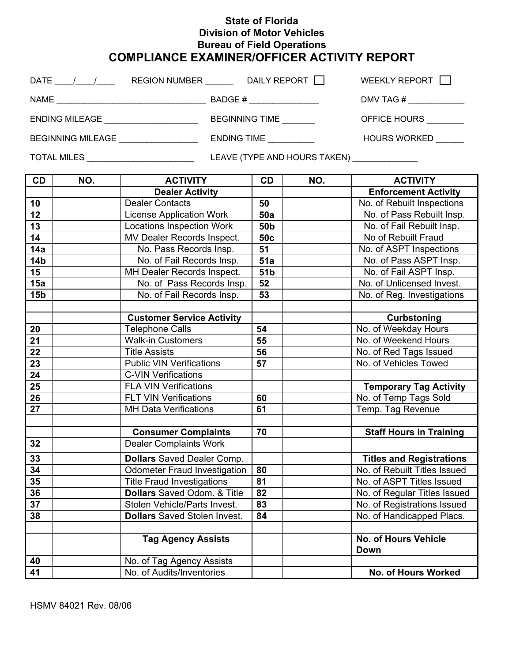## **State of Florida Division of Motor Vehicles Bureau of Field Operations COMPLIANCE EXAMINER/OFFICER ACTIVITY REPORT**

|                                                    |                           |                                     |                 |                                          | WEEKLY REPORT I                 |  |
|----------------------------------------------------|---------------------------|-------------------------------------|-----------------|------------------------------------------|---------------------------------|--|
|                                                    |                           |                                     |                 |                                          |                                 |  |
|                                                    |                           |                                     |                 | OFFICE HOURS ________                    |                                 |  |
| ENDING TIME<br>BEGINNING MILEAGE _________________ |                           |                                     |                 |                                          | <b>HOURS WORKED</b>             |  |
| TOTAL MILES __________________________             |                           |                                     |                 | LEAVE (TYPE AND HOURS TAKEN) ___________ |                                 |  |
| CD                                                 | NO.                       | <b>ACTIVITY</b>                     | CD              | NO.                                      | <b>ACTIVITY</b>                 |  |
|                                                    |                           | <b>Dealer Activity</b>              |                 |                                          | <b>Enforcement Activity</b>     |  |
| 10                                                 |                           | <b>Dealer Contacts</b>              | 50              |                                          | No. of Rebuilt Inspections      |  |
| 12                                                 |                           | <b>License Application Work</b>     | 50a             |                                          | No. of Pass Rebuilt Insp.       |  |
| 13                                                 |                           | <b>Locations Inspection Work</b>    | 50 <sub>b</sub> |                                          | No. of Fail Rebuilt Insp.       |  |
| 14                                                 |                           | MV Dealer Records Inspect.          | 50 <sub>c</sub> |                                          | No of Rebuilt Fraud             |  |
| 14a                                                |                           | No. Pass Records Insp.              | 51              |                                          | No. of ASPT Inspections         |  |
| 14 <sub>b</sub>                                    |                           | No. of Fail Records Insp.           | 51a             |                                          | No. of Pass ASPT Insp.          |  |
| 15                                                 |                           | MH Dealer Records Inspect.          | 51b             |                                          | No. of Fail ASPT Insp.          |  |
| 15a                                                |                           | No. of Pass Records Insp.           | 52              |                                          | No. of Unlicensed Invest.       |  |
| 15 <sub>b</sub>                                    |                           | No. of Fail Records Insp.           | 53              |                                          | No. of Reg. Investigations      |  |
|                                                    |                           |                                     |                 |                                          |                                 |  |
|                                                    |                           | <b>Customer Service Activity</b>    |                 |                                          | Curbstoning                     |  |
| 20                                                 |                           | <b>Telephone Calls</b>              | 54              |                                          | No. of Weekday Hours            |  |
| 21                                                 |                           | <b>Walk-in Customers</b>            | 55              |                                          | No. of Weekend Hours            |  |
| 22                                                 |                           | <b>Title Assists</b>                | 56              |                                          | No. of Red Tags Issued          |  |
| 23                                                 |                           | <b>Public VIN Verifications</b>     | 57              |                                          | No. of Vehicles Towed           |  |
| 24                                                 |                           | <b>C-VIN Verifications</b>          |                 |                                          |                                 |  |
| 25                                                 |                           | <b>FLA VIN Verifications</b>        |                 |                                          | <b>Temporary Tag Activity</b>   |  |
| 26                                                 |                           | <b>FLT VIN Verifications</b>        | 60              |                                          | No. of Temp Tags Sold           |  |
| 27                                                 |                           | <b>MH Data Verifications</b>        | 61              |                                          | Temp. Tag Revenue               |  |
|                                                    |                           |                                     |                 |                                          |                                 |  |
|                                                    |                           | <b>Consumer Complaints</b>          | 70              |                                          | <b>Staff Hours in Training</b>  |  |
| 32                                                 |                           | <b>Dealer Complaints Work</b>       |                 |                                          |                                 |  |
| 33                                                 |                           | <b>Dollars</b> Saved Dealer Comp.   |                 |                                          | <b>Titles and Registrations</b> |  |
| 34                                                 |                           | <b>Odometer Fraud Investigation</b> | 80              |                                          | No. of Rebuilt Titles Issued    |  |
| 35                                                 |                           | <b>Title Fraud Investigations</b>   | 81              |                                          | No. of ASPT Titles Issued       |  |
| 36                                                 |                           | <b>Dollars</b> Saved Odom. & Title  | 82              |                                          | No. of Regular Titles Issued    |  |
| 37                                                 |                           | Stolen Vehicle/Parts Invest.        | 83              |                                          | No. of Registrations Issued     |  |
| 38                                                 |                           | <b>Dollars</b> Saved Stolen Invest. | 84              |                                          | No. of Handicapped Placs.       |  |
|                                                    |                           |                                     |                 |                                          |                                 |  |
|                                                    | <b>Tag Agency Assists</b> |                                     |                 |                                          | <b>No. of Hours Vehicle</b>     |  |
|                                                    |                           |                                     |                 |                                          | <b>Down</b>                     |  |
| 40                                                 |                           | No. of Tag Agency Assists           |                 |                                          |                                 |  |
| 41                                                 |                           | No. of Audits/Inventories           |                 |                                          | No. of Hours Worked             |  |